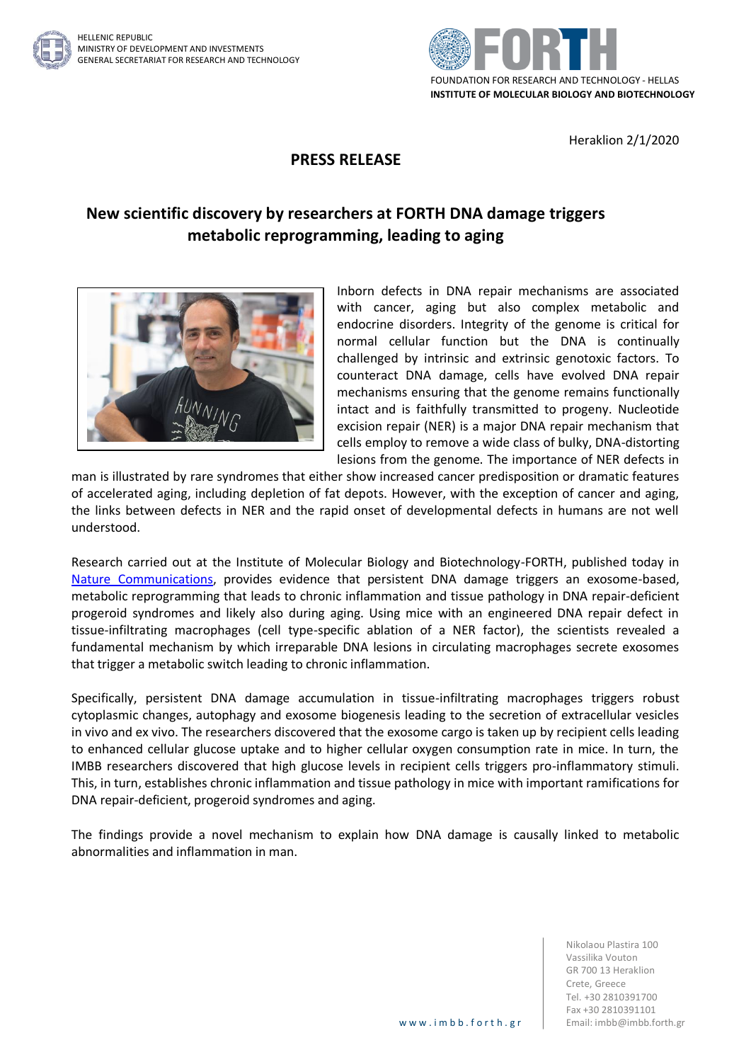

Heraklion 2/1/2020

## **PRESS RELEASE**

## **New scientific discovery by researchers at FORTH DNA damage triggers metabolic reprogramming, leading to aging**



Inborn defects in DNA repair mechanisms are associated with cancer, aging but also complex metabolic and endocrine disorders. Integrity of the genome is critical for normal cellular function but the DNA is continually challenged by intrinsic and extrinsic genotoxic factors. To counteract DNA damage, cells have evolved DNA repair mechanisms ensuring that the genome remains functionally intact and is faithfully transmitted to progeny. Nucleotide excision repair (NER) is a major DNA repair mechanism that cells employ to remove a wide class of bulky, DNA-distorting lesions from the genome. The importance of NER defects in

man is illustrated by rare syndromes that either show increased cancer predisposition or dramatic features of accelerated aging, including depletion of fat depots. However, with the exception of cancer and aging, the links between defects in NER and the rapid onset of developmental defects in humans are not well understood.

Research carried out at the Institute of Molecular Biology and Biotechnology-FORTH, published today in [Nature Communications,](https://www.nature.com/articles/s41467-019-13894-9) provides evidence that persistent DNA damage triggers an exosome-based, metabolic reprogramming that leads to chronic inflammation and tissue pathology in DNA repair-deficient progeroid syndromes and likely also during aging. Using mice with an engineered DNA repair defect in tissue-infiltrating macrophages (cell type-specific ablation of a NER factor), the scientists revealed a fundamental mechanism by which irreparable DNA lesions in circulating macrophages secrete exosomes that trigger a metabolic switch leading to chronic inflammation.

Specifically, persistent DNA damage accumulation in tissue-infiltrating macrophages triggers robust cytoplasmic changes, autophagy and exosome biogenesis leading to the secretion of extracellular vesicles in vivo and ex vivo. The researchers discovered that the exosome cargo is taken up by recipient cells leading to enhanced cellular glucose uptake and to higher cellular oxygen consumption rate in mice. In turn, the IMBB researchers discovered that high glucose levels in recipient cells triggers pro-inflammatory stimuli. This, in turn, establishes chronic inflammation and tissue pathology in mice with important ramifications for DNA repair-deficient, progeroid syndromes and aging.

The findings provide a novel mechanism to explain how DNA damage is causally linked to metabolic abnormalities and inflammation in man.

> Nikolaou Plastira 100 Vassilika Vouton GR 700 13 Heraklion Crete, Greece Tel. +30 2810391700 Fax +30 2810391101 www.imbb.forth.gr | Email: imbb@imbb.forth.gr